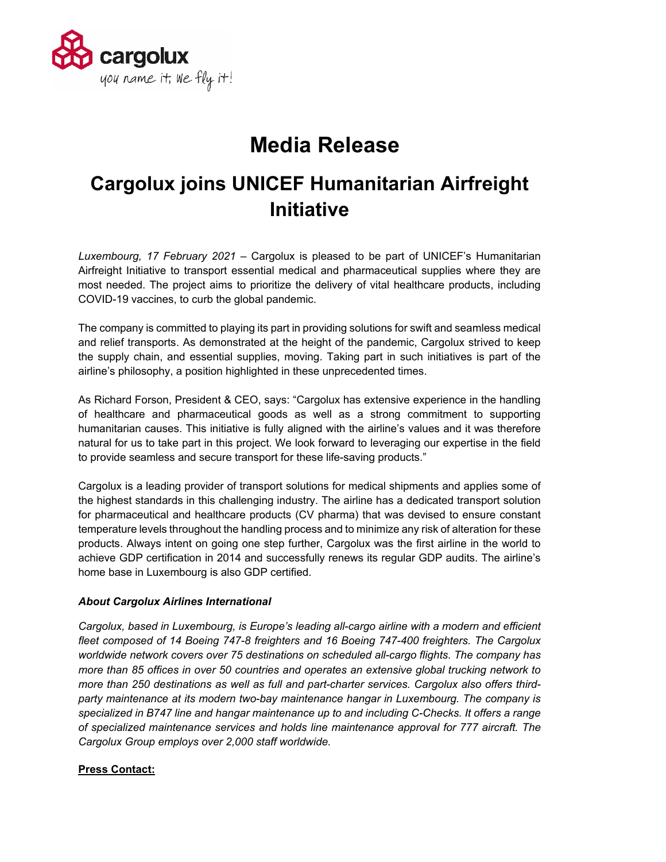

## **Media Release**

## **Cargolux joins UNICEF Humanitarian Airfreight Initiative**

*Luxembourg, 17 February 2021* – Cargolux is pleased to be part of UNICEF's Humanitarian Airfreight Initiative to transport essential medical and pharmaceutical supplies where they are most needed. The project aims to prioritize the delivery of vital healthcare products, including COVID-19 vaccines, to curb the global pandemic.

The company is committed to playing its part in providing solutions for swift and seamless medical and relief transports. As demonstrated at the height of the pandemic, Cargolux strived to keep the supply chain, and essential supplies, moving. Taking part in such initiatives is part of the airline's philosophy, a position highlighted in these unprecedented times.

As Richard Forson, President & CEO, says: "Cargolux has extensive experience in the handling of healthcare and pharmaceutical goods as well as a strong commitment to supporting humanitarian causes. This initiative is fully aligned with the airline's values and it was therefore natural for us to take part in this project. We look forward to leveraging our expertise in the field to provide seamless and secure transport for these life-saving products."

Cargolux is a leading provider of transport solutions for medical shipments and applies some of the highest standards in this challenging industry. The airline has a dedicated transport solution for pharmaceutical and healthcare products (CV pharma) that was devised to ensure constant temperature levels throughout the handling process and to minimize any risk of alteration for these products. Always intent on going one step further, Cargolux was the first airline in the world to achieve GDP certification in 2014 and successfully renews its regular GDP audits. The airline's home base in Luxembourg is also GDP certified.

## *About Cargolux Airlines International*

*Cargolux, based in Luxembourg, is Europe's leading all-cargo airline with a modern and efficient fleet composed of 14 Boeing 747-8 freighters and 16 Boeing 747-400 freighters. The Cargolux worldwide network covers over 75 destinations on scheduled all-cargo flights. The company has more than 85 offices in over 50 countries and operates an extensive global trucking network to more than 250 destinations as well as full and part-charter services. Cargolux also offers thirdparty maintenance at its modern two-bay maintenance hangar in Luxembourg. The company is specialized in B747 line and hangar maintenance up to and including C-Checks. It offers a range of specialized maintenance services and holds line maintenance approval for 777 aircraft. The Cargolux Group employs over 2,000 staff worldwide.*

## **Press Contact:**